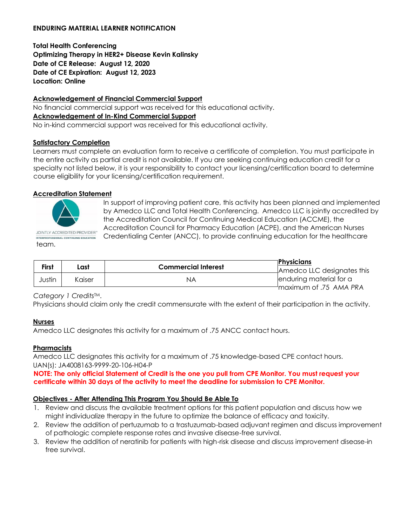#### **ENDURING MATERIAL LEARNER NOTIFICATION**

**Total Health Conferencing Optimizing Therapy in HER2+ Disease Kevin Kalinsky Date of CE Release: August 12, 2020 Date of CE Expiration: August 12, 2023 Location: Online** 

#### **Acknowledgement of Financial Commercial Support**

No financial commercial support was received for this educational activity. **Acknowledgement of In-Kind Commercial Support**  No in-kind commercial support was received for this educational activity.

# **Satisfactory Completion**

Learners must complete an evaluation form to receive a certificate of completion. You must participate in the entire activity as partial credit is not available. If you are seeking continuing education credit for a specialty not listed below, it is your responsibility to contact your licensing/certification board to determine course eligibility for your licensing/certification requirement.

## **Accreditation Statement**



team.

In support of improving patient care, this activity has been planned and implemented by Amedco LLC and Total Health Conferencing. Amedco LLC is jointly accredited by the Accreditation Council for Continuing Medical Education (ACCME), the Accreditation Council for Pharmacy Education (ACPE), and the American Nurses Credentialing Center (ANCC), to provide continuing education for the healthcare

| <b>First</b> | Last   | <b>Commercial Interest</b> | ⊺Physicians<br>$\sqcup$ Amedco LLC designates this |
|--------------|--------|----------------------------|----------------------------------------------------|
| Justin       | Kaiser | ΝA                         | enduring material for a                            |
|              |        |                            | <b>Maximum of .75 AMA PRA</b>                      |

*Category 1 Credits*TM.

Physicians should claim only the credit commensurate with the extent of their participation in the activity.

#### **Nurses**

Amedco LLC designates this activity for a maximum of .75 ANCC contact hours.

#### **Pharmacists**

Amedco LLC designates this activity for a maximum of .75 knowledge-based CPE contact hours. UAN(s): JA4008163-9999-20-106-H04-P

**NOTE: The only official Statement of Credit is the one you pull from CPE Monitor. You must request your certificate within 30 days of the activity to meet the deadline for submission to CPE Monitor.** 

# **Objectives - After Attending This Program You Should Be Able To**

- 1. Review and discuss the available treatment options for this patient population and discuss how we might individualize therapy in the future to optimize the balance of efficacy and toxicity.
- 2. Review the addition of pertuzumab to a trastuzumab-based adjuvant regimen and discuss improvement of pathologic complete response rates and invasive disease-free survival.
- 3. Review the addition of neratinib for patients with high-risk disease and discuss improvement disease-in free survival.